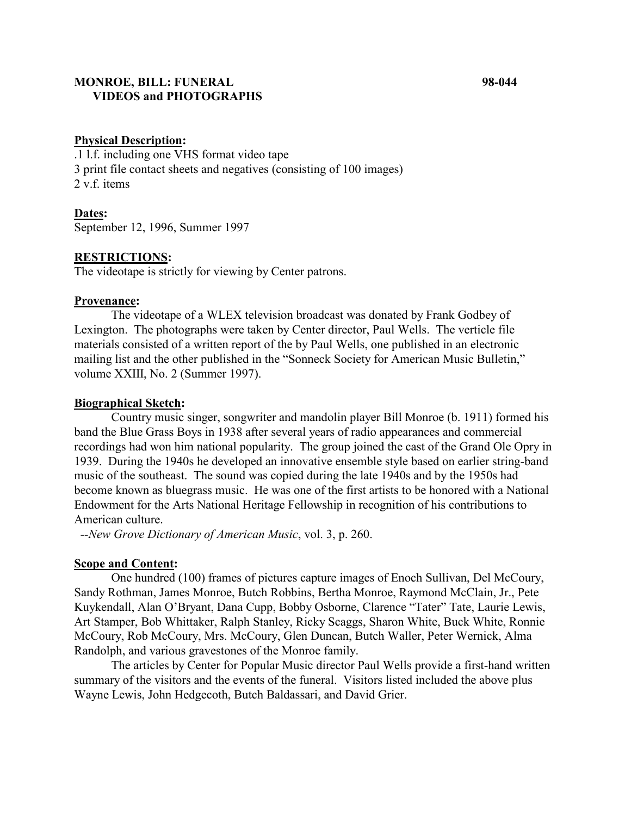## **MONROE, BILL: FUNERAL 98-044 VIDEOS and PHOTOGRAPHS**

## **Physical Description:**

.1 l.f. including one VHS format video tape 3 print file contact sheets and negatives (consisting of 100 images) 2 v.f. items

**Dates:** September 12, 1996, Summer 1997

### **RESTRICTIONS:**

The videotape is strictly for viewing by Center patrons.

#### **Provenance:**

The videotape of a WLEX television broadcast was donated by Frank Godbey of Lexington. The photographs were taken by Center director, Paul Wells. The verticle file materials consisted of a written report of the by Paul Wells, one published in an electronic mailing list and the other published in the "Sonneck Society for American Music Bulletin," volume XXIII, No. 2 (Summer 1997).

#### **Biographical Sketch:**

Country music singer, songwriter and mandolin player Bill Monroe (b. 1911) formed his band the Blue Grass Boys in 1938 after several years of radio appearances and commercial recordings had won him national popularity. The group joined the cast of the Grand Ole Opry in 1939. During the 1940s he developed an innovative ensemble style based on earlier string-band music of the southeast. The sound was copied during the late 1940s and by the 1950s had become known as bluegrass music. He was one of the first artists to be honored with a National Endowment for the Arts National Heritage Fellowship in recognition of his contributions to American culture.

-*-New Grove Dictionary of American Music*, vol. 3, p. 260.

#### **Scope and Content:**

One hundred (100) frames of pictures capture images of Enoch Sullivan, Del McCoury, Sandy Rothman, James Monroe, Butch Robbins, Bertha Monroe, Raymond McClain, Jr., Pete Kuykendall, Alan O'Bryant, Dana Cupp, Bobby Osborne, Clarence "Tater" Tate, Laurie Lewis, Art Stamper, Bob Whittaker, Ralph Stanley, Ricky Scaggs, Sharon White, Buck White, Ronnie McCoury, Rob McCoury, Mrs. McCoury, Glen Duncan, Butch Waller, Peter Wernick, Alma Randolph, and various gravestones of the Monroe family.

The articles by Center for Popular Music director Paul Wells provide a first-hand written summary of the visitors and the events of the funeral. Visitors listed included the above plus Wayne Lewis, John Hedgecoth, Butch Baldassari, and David Grier.